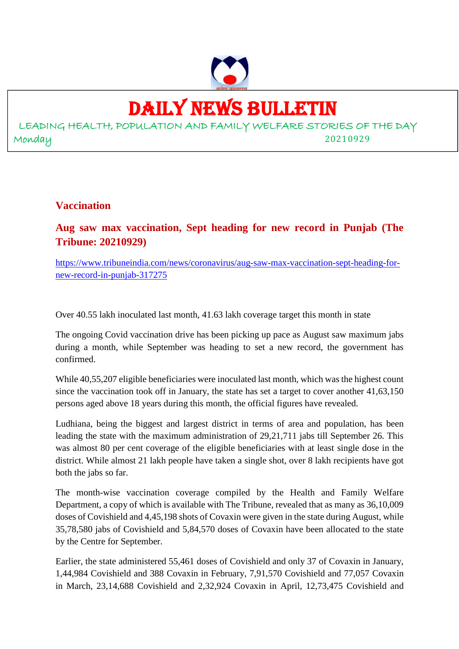

## DAILY NEWS BULLETIN

LEADING HEALTH, POPULATION AND FAMILY WELFARE STORIES OF THE DAY Monday 20210929

#### **Vaccination**

**Aug saw max vaccination, Sept heading for new record in Punjab (The Tribune: 20210929)**

https://www.tribuneindia.com/news/coronavirus/aug-saw-max-vaccination-sept-heading-fornew-record-in-punjab-317275

Over 40.55 lakh inoculated last month, 41.63 lakh coverage target this month in state

The ongoing Covid vaccination drive has been picking up pace as August saw maximum jabs during a month, while September was heading to set a new record, the government has confirmed.

While 40,55,207 eligible beneficiaries were inoculated last month, which was the highest count since the vaccination took off in January, the state has set a target to cover another 41,63,150 persons aged above 18 years during this month, the official figures have revealed.

Ludhiana, being the biggest and largest district in terms of area and population, has been leading the state with the maximum administration of 29,21,711 jabs till September 26. This was almost 80 per cent coverage of the eligible beneficiaries with at least single dose in the district. While almost 21 lakh people have taken a single shot, over 8 lakh recipients have got both the jabs so far.

The month-wise vaccination coverage compiled by the Health and Family Welfare Department, a copy of which is available with The Tribune, revealed that as many as 36,10,009 doses of Covishield and 4,45,198 shots of Covaxin were given in the state during August, while 35,78,580 jabs of Covishield and 5,84,570 doses of Covaxin have been allocated to the state by the Centre for September.

Earlier, the state administered 55,461 doses of Covishield and only 37 of Covaxin in January, 1,44,984 Covishield and 388 Covaxin in February, 7,91,570 Covishield and 77,057 Covaxin in March, 23,14,688 Covishield and 2,32,924 Covaxin in April, 12,73,475 Covishield and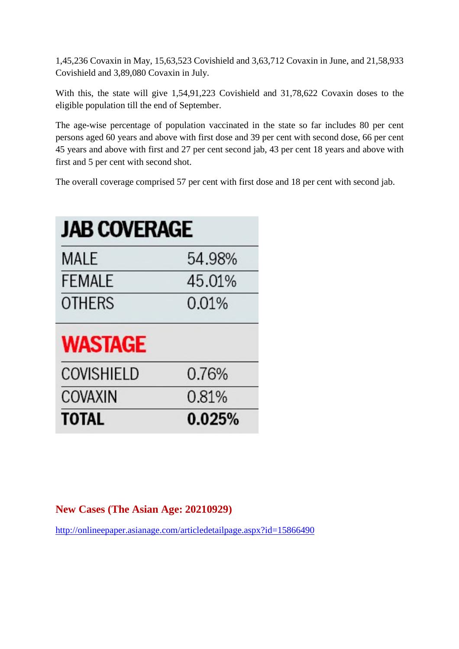1,45,236 Covaxin in May, 15,63,523 Covishield and 3,63,712 Covaxin in June, and 21,58,933 Covishield and 3,89,080 Covaxin in July.

With this, the state will give 1,54,91,223 Covishield and 31,78,622 Covaxin doses to the eligible population till the end of September.

The age-wise percentage of population vaccinated in the state so far includes 80 per cent persons aged 60 years and above with first dose and 39 per cent with second dose, 66 per cent 45 years and above with first and 27 per cent second jab, 43 per cent 18 years and above with first and 5 per cent with second shot.

The overall coverage comprised 57 per cent with first dose and 18 per cent with second jab.

| <b>JAB COVERAGE</b> |        |
|---------------------|--------|
| <b>MALE</b>         | 54.98% |
| FEMALE              | 45.01% |
| <b>OTHERS</b>       | 0.01%  |
| <b>WASTAGE</b>      |        |
| <b>COVISHIELD</b>   | 0.76%  |
| <b>COVAXIN</b>      | 0.81%  |
| <b>TOTAL</b>        | 0.025% |

#### **New Cases (The Asian Age: 20210929)**

http://onlineepaper.asianage.com/articledetailpage.aspx?id=15866490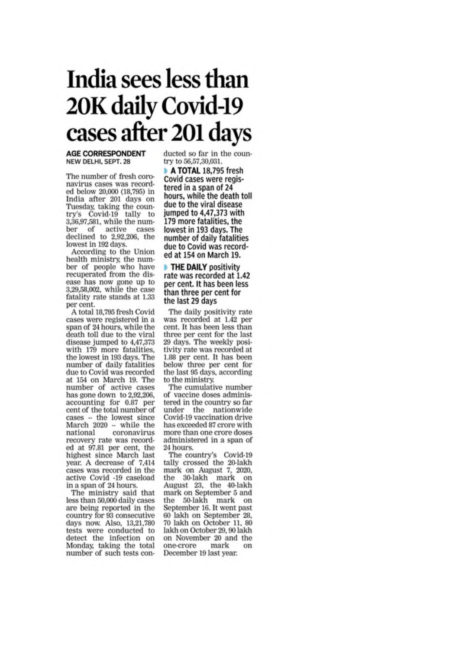## India sees less than 20K daily Covid-19 cases after 201 days

#### **AGE CORRESPONDENT** NEW DELHI, SEPT. 28

The number of fresh coronavirus cases was recorded below 20,000 (18,795) in India after 201 days on Tuesday, taking the country's Covid-19 tally to 3,36,97,581, while the number of active cases<br>declined to 2,92,206, the lowest in 192 days.

According to the Union health ministry, the number of people who have recuperated from the disease has now gone up to 3,29,58,002, while the case fatality rate stands at 1.33 per cent.

A total 18,795 fresh Covid cases were registered in a span of 24 hours, while the death toll due to the viral disease jumped to 4,47,373 with 179 more fatalities, the lowest in 193 days. The number of daily fatalities due to Covid was recorded at 154 on March 19. The number of active cases has gone down to 2,92,206. accounting for 0.87 per cent of the total number of  $cases - the lowest since$ March 2020 -- while the national coronavirus recovery rate was recorded at 97.81 per cent, the highest since March last year. A decrease of 7,414 cases was recorded in the active Covid -19 caseload in a span of 24 hours.

The ministry said that less than 50,000 daily cases are being reported in the country for 93 consecutive days now. Also, 13,21,780 tests were conducted to detect the infection on Monday, taking the total number of such tests conducted so far in the country to 56,57,30,031.

A TOTAL 18.795 fresh Covid cases were registered in a span of 24 hours, while the death toll due to the viral disease jumped to 4,47,373 with 179 more fatalities, the lowest in 193 days. The number of daily fatalities due to Covid was recorded at 154 on March 19.

#### **THE DAILY positivity** rate was recorded at 1.42 per cent. It has been less than three per cent for the last 29 days

The daily positivity rate was recorded at 1.42 per cent. It has been less than three per cent for the last 29 days. The weekly positivity rate was recorded at 1.88 per cent. It has been below three per cent for the last 95 days, according to the ministry.

The cumulative number of vaccine doses administered in the country so far under the nationwide Covid-19 vaccination drive has exceeded 87 crore with more than one crore doses administered in a span of 24 hours.

The country's Covid-19 tally crossed the 20-lakh<br>mark on August 7, 2020, the 30-lakh mark on August 23, the 40-lakh mark on September 5 and the 50-lakh mark on September 16. It went past 60 lakh on September 28, 70 lakh on October 11, 80 lakh on October 29, 90 lakh on November 20 and the one-crore mark on December 19 last year.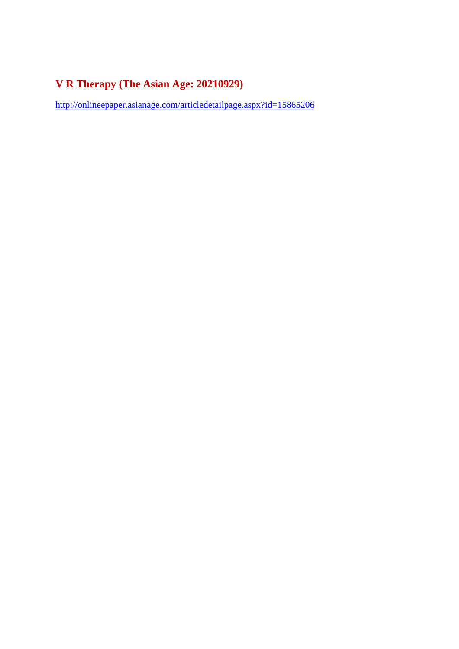### **V R Therapy (The Asian Age: 20210929)**

http://onlineepaper.asianage.com/articledetailpage.aspx?id=15865206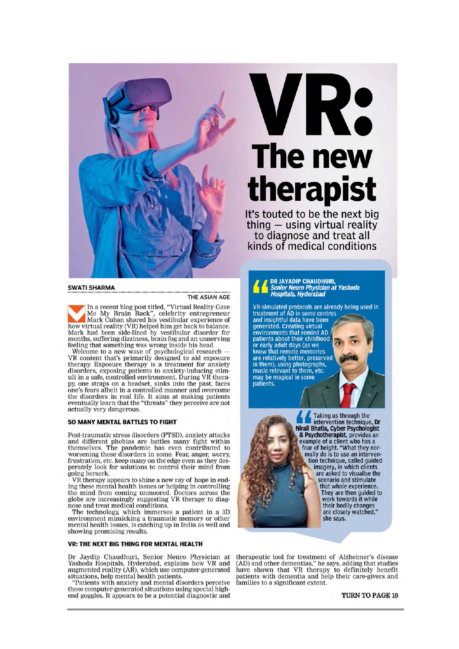

**SWATI SHARMA** 

In a recent blog post titled, "Virtual Reality Gave Me My Brain Back", celebrity entrepreneur<br>Mark Cuban shared his vestibular experience of how virtual reality (VR) helped him get back to balance. Mark had been side-lined by vestibular disorder for<br>months, suffering dizziness, brain fog and an unnerving

feeling that something was wrong inside his head.<br>Welcome to a new wave of psychological research —<br>VR content that's primarily designed to aid exposure of the rapy. Exposure therapy is a treatment for anxiety<br>disorders, exposing patients to anxiety-inducing stim-<br>uli in a safe, controlled environment. During VR therapy, one straps on a headset, sinks into the past, faces by, one strains on a measure, sinks more and overcome<br>the disorders in real life. It aims at making patients eventually learn that the "threats" they perceive are not actually very dangerous.

#### SO MANY MENTAL BATTLES TO FIGHT

Post-traumatic stress disorders (PTSD), anxiety attacks and different phobias are battles many fight within themselves. The pandemic has even contributed to worsening these disorders in some. Fear, anger, worry, frustration, etc. keep many on the edge even as they desperately look for solutions to control their mind from going berserk.

VR therapy appears to shine a new ray of hope in ending these mental health issues or helping in controlling the mind from coming unmoored. Doctors across the globe are increasingly suggesting VR therapy to diagnose and treat medical conditions.

The technology, which immerses a patient in a 3D environment mimicking a traumatic memory or other mental health issues, is catching up in India as well and showing promising results.

#### VR: THE NEXT BIG THING FOR MENTAL HEALTH

Dr Jaydip Chaudhuri, Senior Neuro Physician at<br>Yashoda Hospitals, Hyderabad, explains how VR and<br>augmented reality (AR), which use computer-generated<br>situations, help mental health patients.<br>"Patients with anyiety and mont

"Patients with anxiety and mental disorders perceive<br>these computer-generated situations using special high-<br>end goggles. It appears to be a potential diagnostic and

# VR: The new therapist

It's touted to be the next big thing  $-$  using virtual reality to diagnose and treat all kinds of medical conditions

DR JAYADIP CHAUDHURI,<br>Senior Neuro Physician at Yashoda<br>Hospitals, Hyderabad

VR-simulated protocols are already being used in<br>treatment of AD in some centres<br>and insightful data have been generated. Creating virtual generated. Creating virtual<br>environments that remind AD<br>patients about their childhood<br>or early adult days (as we<br>know that remote memories<br>are relatively better, preserved<br>in them), using photographs,<br>music relevant to th



Taking us through the intervention technique, Dr Nirali Bhatia, Cyber Psychologist<br>& Psychotherapist, provides an<br>example of a client who has a fear of height. "What they normally do is to use an intervention technique, called guided imagery, in which clients<br>are asked to visualise the scenario and stimulate that whole experience. They are then guided to work towards it while their bodily changes are closely watched," she says.

therapeutic tool for treatment of Alzheimer's disease dependent for dementias," he says, adding that studies<br>have shown that VR therapy to definitely benefit<br>patients with dementia and help their care-givers and<br>families to a significant extent.

TURN TO PAGE 10

THE ASIAN AGE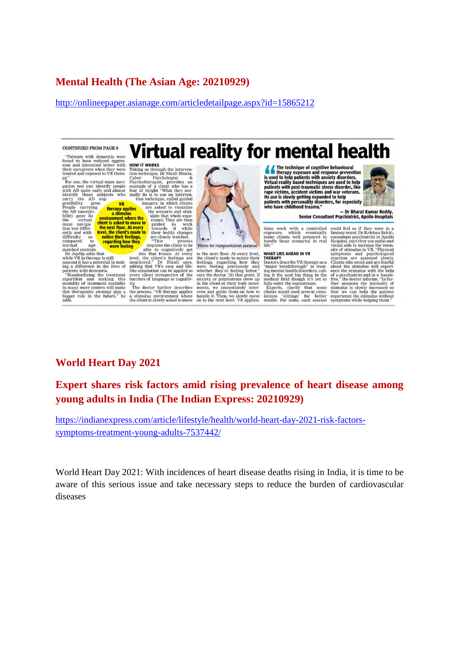#### **Mental Health (The Asian Age: 20210929)**

http://onlineepaper.asianage.com/articledetailpage.aspx?id=15865212

**CONTINUED FROM PAGE 9** 

"Patients with dementia were rations with demonstrative<br>sion and interacted better with<br>their caregivers when they were<br>treated and exposed to VR thera-

treated and exposed to VR thera-<br>treated and exposed to VR thera-<br>gation test can identify people<br>gation test can identify people<br>with AD quite early and almost<br>carry the AD suggestillity gene.<br> $\begin{array}{ccc}\n\text{VP} & \text{VP} & \text{VP} \\
\$ 

maze naviga-<br>tion test differently and with<br>difficulty as difficulty as<br>compared to

compared to **regarding how**<br>compared to **regarding how**<br>matched controls.<br>To Javable adds that the substitution in the VR in therapy is still<br>nascent it than a potential in mak-<br>regarding a difference in the lives of<br>patie

**HOW IT WORKS**<br>Taking us through the intervention technique, Dr Niral Bhatia, Cyber<br>tion technique, Dr Niral Bhatia, Psychologism example of a client who has a metrom<br>fear of height "What they normally do is to use an inte **HOW IT WORKS** 

therapy applies a sumulus<br>
environment where the<br>
client is asked to move to<br>
the next floor. At every<br>
level, the client's made to

notice their feelings,<br>regarding how they<br>were feeling

evelings, are closely watched.<br>
Image are closely approximate the state of the interval induced into that trance. At every<br>
interval interval in the closely that trance. At every<br>
level, the climit is feelings are<br>
anonito bar riets or anguage or cognitive-<br>The doctor further describes<br>the process. "VR therapy applies<br>a stimulus environment where<br>the client is slowly asked to move



**Virtual reality for mental health** 

to the next floor. At every level, to the next floor. At every level, the client's made to notice their feelings, regarding how they were feeling providing where we were only when the value of the control of any state of an interpret of the ments of ments,

**A** The technique of cognitive behavioural<br>is used to help patients with anxiety disorders.<br>Virtual reality based techniques are used to help Find reality pased techniques are used to neip<br>rations, accident victims and war veterans.<br>the rape victims, accident victims and war veterans.<br>Its use is slowly getting expanded to help<br>patients with personality disorders



, Dr Bharat Kumar Reddy,<br>Senior Consultant Psychiatrist, Apollo Hospitals

tions work with a controlled<br>exposure, which eventually exposure, which eventually<br>make clients well prepared to<br>handle those scenarios in real<br>life."

WHAT LIES AHEAD IN VR<br>THERAPY<br>Doctors describe VR therapy as a<br>"major hypelthyough" in treat. Doctors describe VR therapy as a<br>major breakthrough" in treating at major breakthrough" in treating it the next big thing medical field though it's yet to fully enter the main<br>treatment is expected in the state of the stat

could feel as if they were in a<br>fantasy novel. Dr Krishna Sahiti,<br>consultant psychiatrist in Apollo<br>Hospital, says they use audio and visual aids to increase the intensity of stimulus in VR. "Physical symptoms and psychological<br>reaction are assessed slowly.<br>Clients who avoid and are fearful Clients who avoid and are fearful<br>about the stimulus will experience the stimulus with the help of a psychiatrist and in a has<br>sleep free, "the doctor informs."In fur-<br>free, "the doctor informs."In fur-<br>there sessions the

#### **World Heart Day 2021**

#### **Expert shares risk factors amid rising prevalence of heart disease among young adults in India (The Indian Express: 20210929)**

https://indianexpress.com/article/lifestyle/health/world-heart-day-2021-risk-factorssymptoms-treatment-young-adults-7537442/

World Heart Day 2021: With incidences of heart disease deaths rising in India, it is time to be aware of this serious issue and take necessary steps to reduce the burden of cardiovascular diseases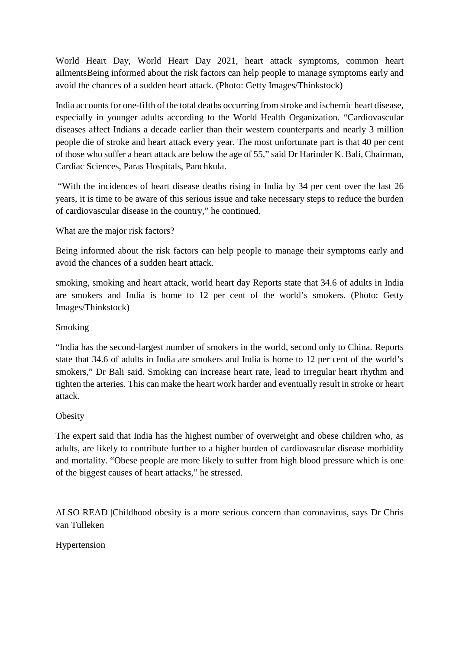World Heart Day, World Heart Day 2021, heart attack symptoms, common heart ailmentsBeing informed about the risk factors can help people to manage symptoms early and avoid the chances of a sudden heart attack. (Photo: Getty Images/Thinkstock)

India accounts for one-fifth of the total deaths occurring from stroke and ischemic heart disease, especially in younger adults according to the World Health Organization. "Cardiovascular diseases affect Indians a decade earlier than their western counterparts and nearly 3 million people die of stroke and heart attack every year. The most unfortunate part is that 40 per cent of those who suffer a heart attack are below the age of 55," said Dr Harinder K. Bali, Chairman, Cardiac Sciences, Paras Hospitals, Panchkula.

"With the incidences of heart disease deaths rising in India by 34 per cent over the last 26 years, it is time to be aware of this serious issue and take necessary steps to reduce the burden of cardiovascular disease in the country," he continued.

What are the major risk factors?

Being informed about the risk factors can help people to manage their symptoms early and avoid the chances of a sudden heart attack.

smoking, smoking and heart attack, world heart day Reports state that 34.6 of adults in India are smokers and India is home to 12 per cent of the world's smokers. (Photo: Getty Images/Thinkstock)

#### Smoking

"India has the second-largest number of smokers in the world, second only to China. Reports state that 34.6 of adults in India are smokers and India is home to 12 per cent of the world's smokers," Dr Bali said. Smoking can increase heart rate, lead to irregular heart rhythm and tighten the arteries. This can make the heart work harder and eventually result in stroke or heart attack.

#### **Obesity**

The expert said that India has the highest number of overweight and obese children who, as adults, are likely to contribute further to a higher burden of cardiovascular disease morbidity and mortality. "Obese people are more likely to suffer from high blood pressure which is one of the biggest causes of heart attacks," he stressed.

ALSO READ |Childhood obesity is a more serious concern than coronavirus, says Dr Chris van Tulleken

#### Hypertension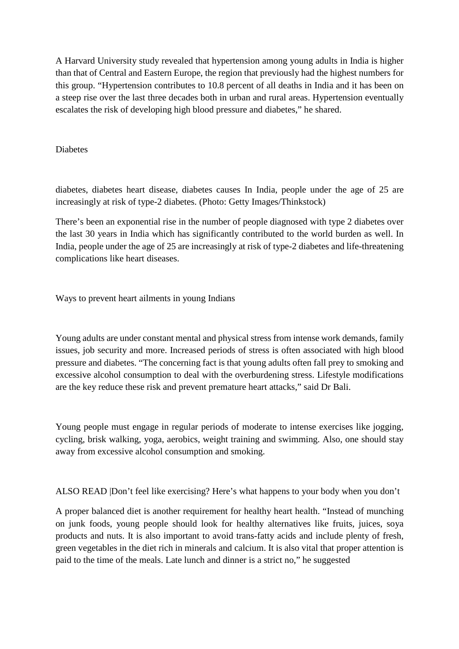A Harvard University study revealed that hypertension among young adults in India is higher than that of Central and Eastern Europe, the region that previously had the highest numbers for this group. "Hypertension contributes to 10.8 percent of all deaths in India and it has been on a steep rise over the last three decades both in urban and rural areas. Hypertension eventually escalates the risk of developing high blood pressure and diabetes," he shared.

#### Diabetes

diabetes, diabetes heart disease, diabetes causes In India, people under the age of 25 are increasingly at risk of type-2 diabetes. (Photo: Getty Images/Thinkstock)

There's been an exponential rise in the number of people diagnosed with type 2 diabetes over the last 30 years in India which has significantly contributed to the world burden as well. In India, people under the age of 25 are increasingly at risk of type-2 diabetes and life-threatening complications like heart diseases.

Ways to prevent heart ailments in young Indians

Young adults are under constant mental and physical stress from intense work demands, family issues, job security and more. Increased periods of stress is often associated with high blood pressure and diabetes. "The concerning fact is that young adults often fall prey to smoking and excessive alcohol consumption to deal with the overburdening stress. Lifestyle modifications are the key reduce these risk and prevent premature heart attacks," said Dr Bali.

Young people must engage in regular periods of moderate to intense exercises like jogging, cycling, brisk walking, yoga, aerobics, weight training and swimming. Also, one should stay away from excessive alcohol consumption and smoking.

ALSO READ |Don't feel like exercising? Here's what happens to your body when you don't

A proper balanced diet is another requirement for healthy heart health. "Instead of munching on junk foods, young people should look for healthy alternatives like fruits, juices, soya products and nuts. It is also important to avoid trans-fatty acids and include plenty of fresh, green vegetables in the diet rich in minerals and calcium. It is also vital that proper attention is paid to the time of the meals. Late lunch and dinner is a strict no," he suggested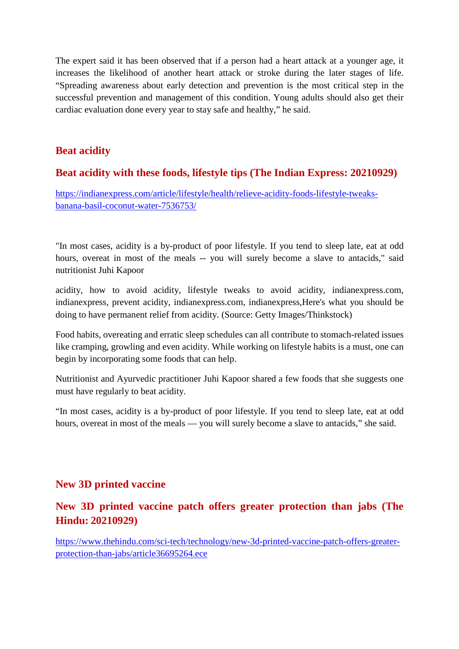The expert said it has been observed that if a person had a heart attack at a younger age, it increases the likelihood of another heart attack or stroke during the later stages of life. "Spreading awareness about early detection and prevention is the most critical step in the successful prevention and management of this condition. Young adults should also get their cardiac evaluation done every year to stay safe and healthy," he said.

#### **Beat acidity**

#### **Beat acidity with these foods, lifestyle tips (The Indian Express: 20210929)**

https://indianexpress.com/article/lifestyle/health/relieve-acidity-foods-lifestyle-tweaksbanana-basil-coconut-water-7536753/

"In most cases, acidity is a by-product of poor lifestyle. If you tend to sleep late, eat at odd hours, overeat in most of the meals -- you will surely become a slave to antacids," said nutritionist Juhi Kapoor

acidity, how to avoid acidity, lifestyle tweaks to avoid acidity, indianexpress.com, indianexpress, prevent acidity, indianexpress.com, indianexpress,Here's what you should be doing to have permanent relief from acidity. (Source: Getty Images/Thinkstock)

Food habits, overeating and erratic sleep schedules can all contribute to stomach-related issues like cramping, growling and even acidity. While working on lifestyle habits is a must, one can begin by incorporating some foods that can help.

Nutritionist and Ayurvedic practitioner Juhi Kapoor shared a few foods that she suggests one must have regularly to beat acidity.

"In most cases, acidity is a by-product of poor lifestyle. If you tend to sleep late, eat at odd hours, overeat in most of the meals — you will surely become a slave to antacids," she said.

#### **New 3D printed vaccine**

#### **New 3D printed vaccine patch offers greater protection than jabs (The Hindu: 20210929)**

https://www.thehindu.com/sci-tech/technology/new-3d-printed-vaccine-patch-offers-greaterprotection-than-jabs/article36695264.ece